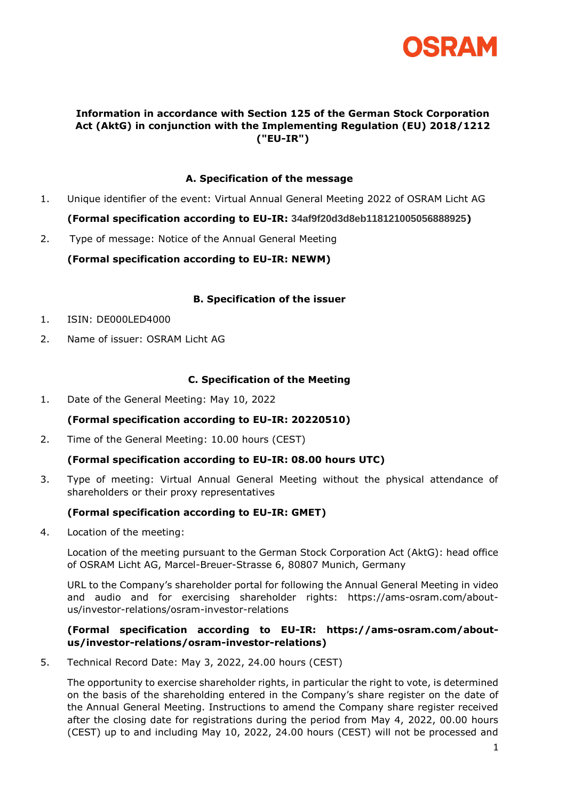

## **Information in accordance with Section 125 of the German Stock Corporation Act (AktG) in conjunction with the Implementing Regulation (EU) 2018/1212 ("EU-IR")**

### **A. Specification of the message**

- 1. Unique identifier of the event: Virtual Annual General Meeting 2022 of OSRAM Licht AG **(Formal specification according to EU-IR: 34af9f20d3d8eb118121005056888925)**
- 2. Type of message: Notice of the Annual General Meeting

**(Formal specification according to EU-IR: NEWM)**

#### **B. Specification of the issuer**

- 1. ISIN: DE000LED4000
- 2. Name of issuer: OSRAM Licht AG

#### **C. Specification of the Meeting**

1. Date of the General Meeting: May 10, 2022

#### **(Formal specification according to EU-IR: 20220510)**

2. Time of the General Meeting: 10.00 hours (CEST)

#### **(Formal specification according to EU-IR: 08.00 hours UTC)**

3. Type of meeting: Virtual Annual General Meeting without the physical attendance of shareholders or their proxy representatives

#### **(Formal specification according to EU-IR: GMET)**

4. Location of the meeting:

Location of the meeting pursuant to the German Stock Corporation Act (AktG): head office of OSRAM Licht AG, Marcel-Breuer-Strasse 6, 80807 Munich, Germany

URL to the Company's shareholder portal for following the Annual General Meeting in video and audio and for exercising shareholder rights: https://ams-osram.com/aboutus/investor-relations/osram-investor-relations

### **(Formal specification according to EU-IR: https://ams-osram.com/aboutus/investor-relations/osram-investor-relations)**

5. Technical Record Date: May 3, 2022, 24.00 hours (CEST)

The opportunity to exercise shareholder rights, in particular the right to vote, is determined on the basis of the shareholding entered in the Company's share register on the date of the Annual General Meeting. Instructions to amend the Company share register received after the closing date for registrations during the period from May 4, 2022, 00.00 hours (CEST) up to and including May 10, 2022, 24.00 hours (CEST) will not be processed and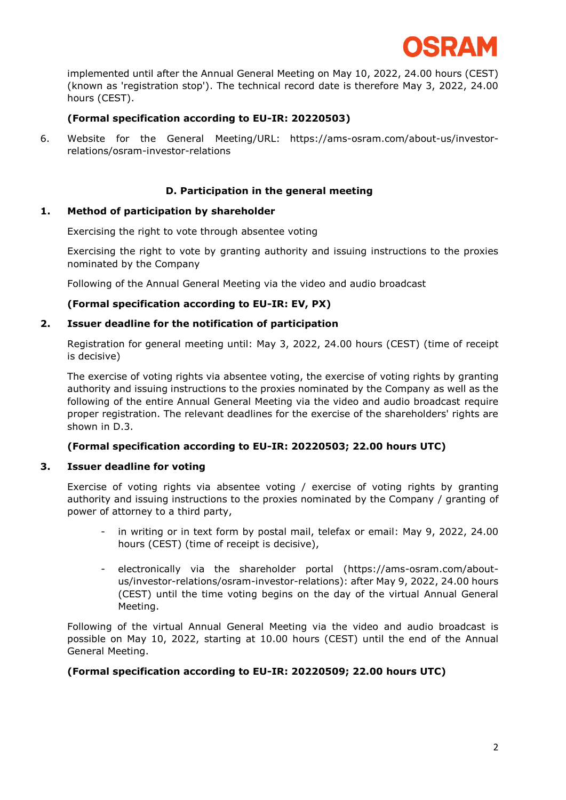

implemented until after the Annual General Meeting on May 10, 2022, 24.00 hours (CEST) (known as 'registration stop'). The technical record date is therefore May 3, 2022, 24.00 hours (CEST).

## **(Formal specification according to EU-IR: 20220503)**

6. Website for the General Meeting/URL: https://ams-osram.com/about-us/investorrelations/osram-investor-relations

## **D. Participation in the general meeting**

#### **1. Method of participation by shareholder**

Exercising the right to vote through absentee voting

Exercising the right to vote by granting authority and issuing instructions to the proxies nominated by the Company

Following of the Annual General Meeting via the video and audio broadcast

#### **(Formal specification according to EU-IR: EV, PX)**

#### **2. Issuer deadline for the notification of participation**

Registration for general meeting until: May 3, 2022, 24.00 hours (CEST) (time of receipt is decisive)

The exercise of voting rights via absentee voting, the exercise of voting rights by granting authority and issuing instructions to the proxies nominated by the Company as well as the following of the entire Annual General Meeting via the video and audio broadcast require proper registration. The relevant deadlines for the exercise of the shareholders' rights are shown in D.3.

#### **(Formal specification according to EU-IR: 20220503; 22.00 hours UTC)**

#### **3. Issuer deadline for voting**

Exercise of voting rights via absentee voting / exercise of voting rights by granting authority and issuing instructions to the proxies nominated by the Company / granting of power of attorney to a third party,

- in writing or in text form by postal mail, telefax or email: May 9, 2022, 24.00 hours (CEST) (time of receipt is decisive),
- electronically via the shareholder portal (https://ams-osram.com/aboutus/investor-relations/osram-investor-relations): after May 9, 2022, 24.00 hours (CEST) until the time voting begins on the day of the virtual Annual General Meeting.

Following of the virtual Annual General Meeting via the video and audio broadcast is possible on May 10, 2022, starting at 10.00 hours (CEST) until the end of the Annual General Meeting.

### **(Formal specification according to EU-IR: 20220509; 22.00 hours UTC)**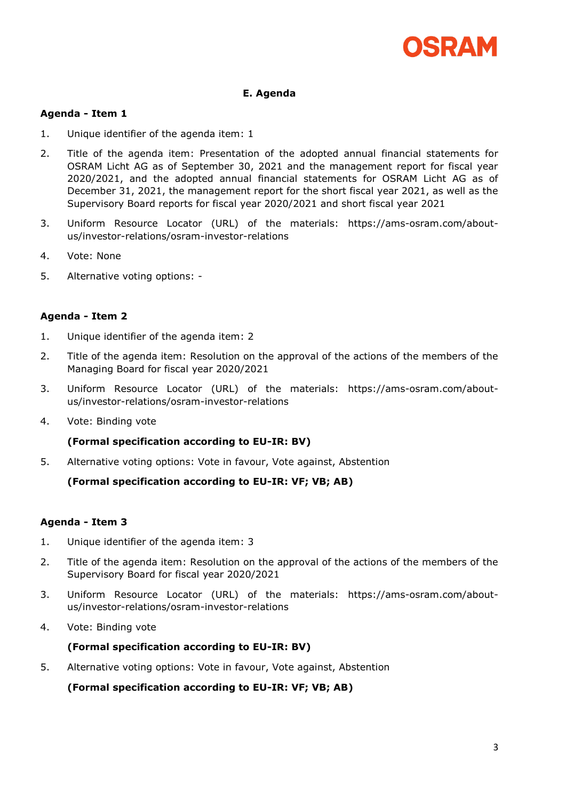

## **E. Agenda**

### **Agenda - Item 1**

- 1. Unique identifier of the agenda item: 1
- 2. Title of the agenda item: Presentation of the adopted annual financial statements for OSRAM Licht AG as of September 30, 2021 and the management report for fiscal year 2020/2021, and the adopted annual financial statements for OSRAM Licht AG as of December 31, 2021, the management report for the short fiscal year 2021, as well as the Supervisory Board reports for fiscal year 2020/2021 and short fiscal year 2021
- 3. Uniform Resource Locator (URL) of the materials: https://ams-osram.com/aboutus/investor-relations/osram-investor-relations
- 4. Vote: None
- 5. Alternative voting options: -

### **Agenda - Item 2**

- 1. Unique identifier of the agenda item: 2
- 2. Title of the agenda item: Resolution on the approval of the actions of the members of the Managing Board for fiscal year 2020/2021
- 3. Uniform Resource Locator (URL) of the materials: https://ams-osram.com/aboutus/investor-relations/osram-investor-relations
- 4. Vote: Binding vote

#### **(Formal specification according to EU-IR: BV)**

5. Alternative voting options: Vote in favour, Vote against, Abstention

**(Formal specification according to EU-IR: VF; VB; AB)**

## **Agenda - Item 3**

- 1. Unique identifier of the agenda item: 3
- 2. Title of the agenda item: Resolution on the approval of the actions of the members of the Supervisory Board for fiscal year 2020/2021
- 3. Uniform Resource Locator (URL) of the materials: https://ams-osram.com/aboutus/investor-relations/osram-investor-relations
- 4. Vote: Binding vote

#### **(Formal specification according to EU-IR: BV)**

5. Alternative voting options: Vote in favour, Vote against, Abstention

**(Formal specification according to EU-IR: VF; VB; AB)**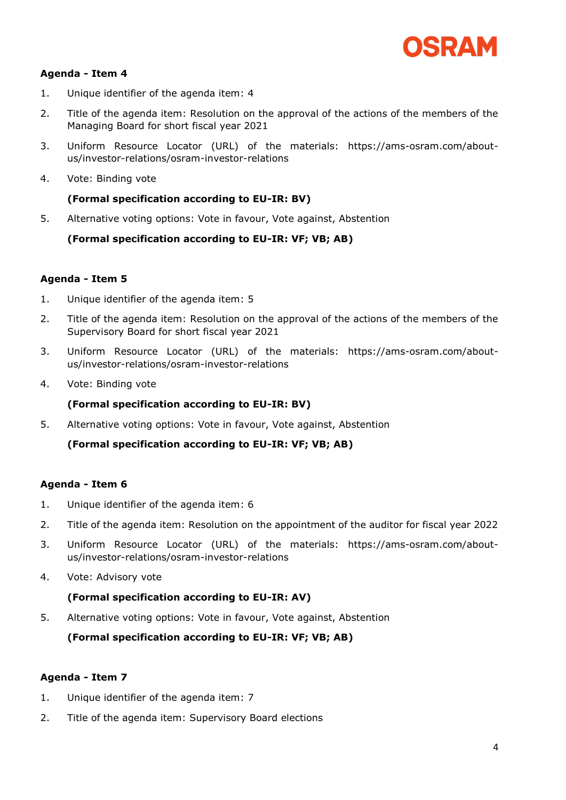

## **Agenda - Item 4**

- 1. Unique identifier of the agenda item: 4
- 2. Title of the agenda item: Resolution on the approval of the actions of the members of the Managing Board for short fiscal year 2021
- 3. Uniform Resource Locator (URL) of the materials: https://ams-osram.com/aboutus/investor-relations/osram-investor-relations
- 4. Vote: Binding vote

## **(Formal specification according to EU-IR: BV)**

5. Alternative voting options: Vote in favour, Vote against, Abstention

**(Formal specification according to EU-IR: VF; VB; AB)**

### **Agenda - Item 5**

- 1. Unique identifier of the agenda item: 5
- 2. Title of the agenda item: Resolution on the approval of the actions of the members of the Supervisory Board for short fiscal year 2021
- 3. Uniform Resource Locator (URL) of the materials: https://ams-osram.com/aboutus/investor-relations/osram-investor-relations
- 4. Vote: Binding vote

## **(Formal specification according to EU-IR: BV)**

5. Alternative voting options: Vote in favour, Vote against, Abstention

**(Formal specification according to EU-IR: VF; VB; AB)**

## **Agenda - Item 6**

- 1. Unique identifier of the agenda item: 6
- 2. Title of the agenda item: Resolution on the appointment of the auditor for fiscal year 2022
- 3. Uniform Resource Locator (URL) of the materials: https://ams-osram.com/aboutus/investor-relations/osram-investor-relations
- 4. Vote: Advisory vote

#### **(Formal specification according to EU-IR: AV)**

5. Alternative voting options: Vote in favour, Vote against, Abstention

**(Formal specification according to EU-IR: VF; VB; AB)**

#### **Agenda - Item 7**

- 1. Unique identifier of the agenda item: 7
- 2. Title of the agenda item: Supervisory Board elections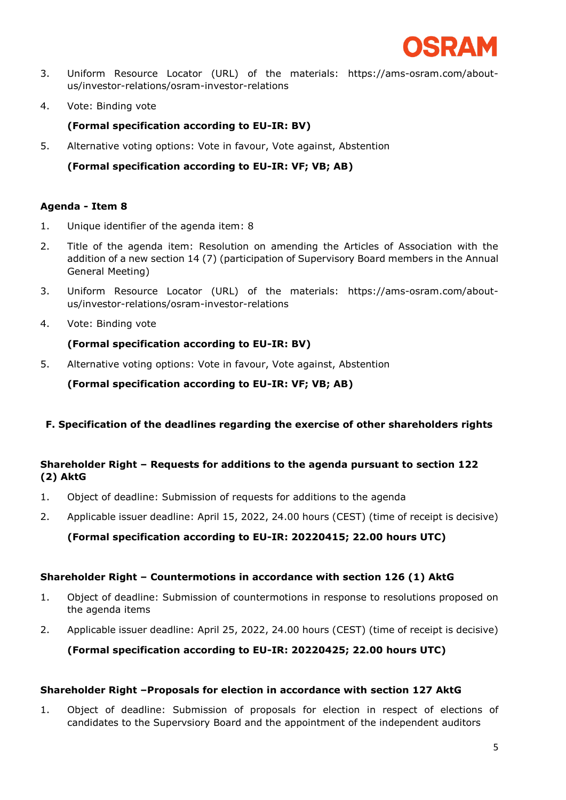

- 3. Uniform Resource Locator (URL) of the materials: https://ams-osram.com/aboutus/investor-relations/osram-investor-relations
- 4. Vote: Binding vote

## **(Formal specification according to EU-IR: BV)**

5. Alternative voting options: Vote in favour, Vote against, Abstention

**(Formal specification according to EU-IR: VF; VB; AB)**

## **Agenda - Item 8**

- 1. Unique identifier of the agenda item: 8
- 2. Title of the agenda item: Resolution on amending the Articles of Association with the addition of a new section 14 (7) (participation of Supervisory Board members in the Annual General Meeting)
- 3. Uniform Resource Locator (URL) of the materials: https://ams-osram.com/aboutus/investor-relations/osram-investor-relations
- 4. Vote: Binding vote

## **(Formal specification according to EU-IR: BV)**

5. Alternative voting options: Vote in favour, Vote against, Abstention

**(Formal specification according to EU-IR: VF; VB; AB)**

## **F. Specification of the deadlines regarding the exercise of other shareholders rights**

## **Shareholder Right – Requests for additions to the agenda pursuant to section 122 (2) AktG**

- 1. Object of deadline: Submission of requests for additions to the agenda
- 2. Applicable issuer deadline: April 15, 2022, 24.00 hours (CEST) (time of receipt is decisive)

**(Formal specification according to EU-IR: 20220415; 22.00 hours UTC)**

## **Shareholder Right – Countermotions in accordance with section 126 (1) AktG**

- 1. Object of deadline: Submission of countermotions in response to resolutions proposed on the agenda items
- 2. Applicable issuer deadline: April 25, 2022, 24.00 hours (CEST) (time of receipt is decisive)

**(Formal specification according to EU-IR: 20220425; 22.00 hours UTC)**

#### **Shareholder Right –Proposals for election in accordance with section 127 AktG**

1. Object of deadline: Submission of proposals for election in respect of elections of candidates to the Supervsiory Board and the appointment of the independent auditors